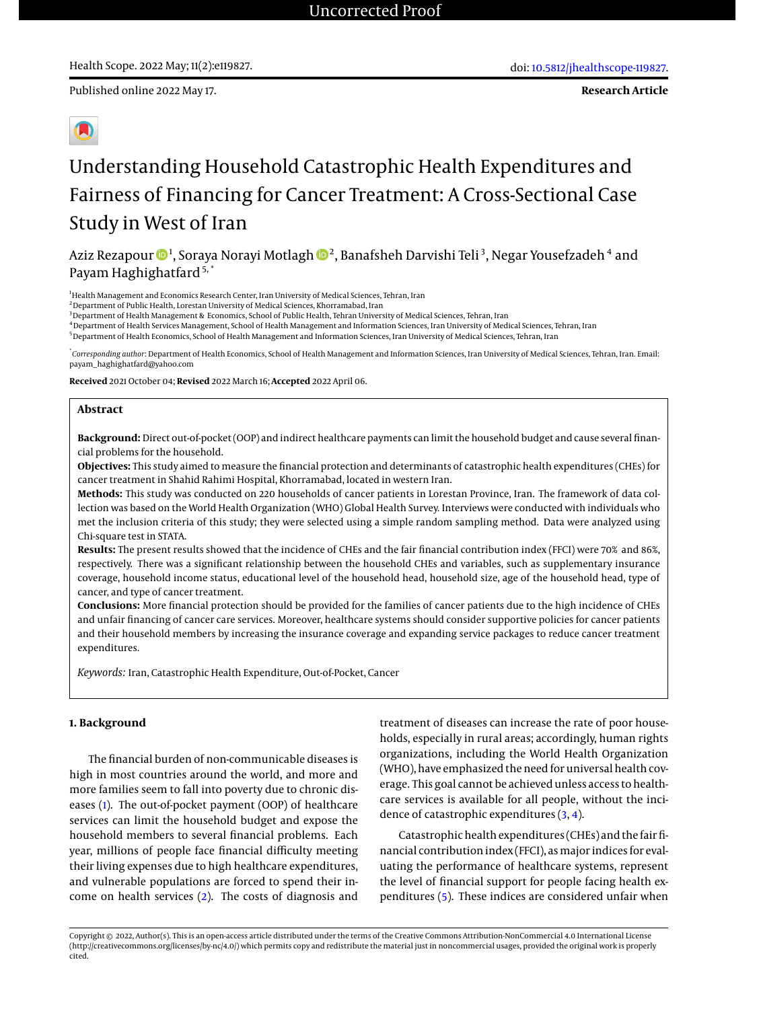Published online 2022 May 17.

**Research Article**



# Understanding Household Catastrophic Health Expenditures and Fairness of Financing for Cancer Treatment: A Cross-Sectional Case Study in West of Iran

Aziz Rezapour ��!, Soraya Norayi Motlagh ��?, Banafsheh Darvishi Teli<sup>3</sup>, Negar Yousefzadeh <sup>4</sup> and Payam Haghighatfard<sup>5,\*</sup>

<sup>1</sup>Health Management and Economics Research Center, Iran University of Medical Sciences, Tehran, Iran

<sup>2</sup> Department of Public Health, Lorestan University of Medical Sciences, Khorramabad, Iran

<sup>3</sup>Department of Health Management & Economics, School of Public Health, Tehran University of Medical Sciences, Tehran, Iran

<sup>4</sup>Department of Health Services Management, School of Health Management and Information Sciences, Iran University of Medical Sciences, Tehran, Iran

<sup>5</sup>Department of Health Economics, School of Health Management and Information Sciences, Iran University of Medical Sciences, Tehran, Iran

\* *Corresponding author*: Department of Health Economics, School of Health Management and Information Sciences, Iran University of Medical Sciences, Tehran, Iran. Email: payam\_haghighatfard@yahoo.com

**Received** 2021 October 04; **Revised** 2022 March 16; **Accepted** 2022 April 06.

#### **Abstract**

**Background:** Direct out-of-pocket (OOP) and indirect healthcare payments can limit the household budget and cause several financial problems for the household.

**Objectives:** This study aimed to measure the financial protection and determinants of catastrophic health expenditures (CHEs) for cancer treatment in Shahid Rahimi Hospital, Khorramabad, located in western Iran.

**Methods:** This study was conducted on 220 households of cancer patients in Lorestan Province, Iran. The framework of data collection was based on the World Health Organization (WHO) Global Health Survey. Interviews were conducted with individuals who met the inclusion criteria of this study; they were selected using a simple random sampling method. Data were analyzed using Chi-square test in STATA.

**Results:** The present results showed that the incidence of CHEs and the fair financial contribution index (FFCI) were 70% and 86%, respectively. There was a significant relationship between the household CHEs and variables, such as supplementary insurance coverage, household income status, educational level of the household head, household size, age of the household head, type of cancer, and type of cancer treatment.

**Conclusions:** More financial protection should be provided for the families of cancer patients due to the high incidence of CHEs and unfair financing of cancer care services. Moreover, healthcare systems should consider supportive policies for cancer patients and their household members by increasing the insurance coverage and expanding service packages to reduce cancer treatment expenditures.

*Keywords:* Iran, Catastrophic Health Expenditure, Out-of-Pocket, Cancer

#### **1. Background**

The financial burden of non-communicable diseases is high in most countries around the world, and more and more families seem to fall into poverty due to chronic diseases [\(1\)](#page-6-0). The out-of-pocket payment (OOP) of healthcare services can limit the household budget and expose the household members to several financial problems. Each year, millions of people face financial difficulty meeting their living expenses due to high healthcare expenditures, and vulnerable populations are forced to spend their income on health services [\(2\)](#page-6-1). The costs of diagnosis and

treatment of diseases can increase the rate of poor households, especially in rural areas; accordingly, human rights organizations, including the World Health Organization (WHO), have emphasized the need for universal health coverage. This goal cannot be achieved unless access to healthcare services is available for all people, without the incidence of catastrophic expenditures [\(3,](#page-6-2) [4\)](#page-6-3).

Catastrophic health expenditures (CHEs) and the fair financial contribution index (FFCI), as major indices for evaluating the performance of healthcare systems, represent the level of financial support for people facing health expenditures [\(5\)](#page-6-4). These indices are considered unfair when

Copyright © 2022, Author(s). This is an open-access article distributed under the terms of the Creative Commons Attribution-NonCommercial 4.0 International License (http://creativecommons.org/licenses/by-nc/4.0/) which permits copy and redistribute the material just in noncommercial usages, provided the original work is properly cited.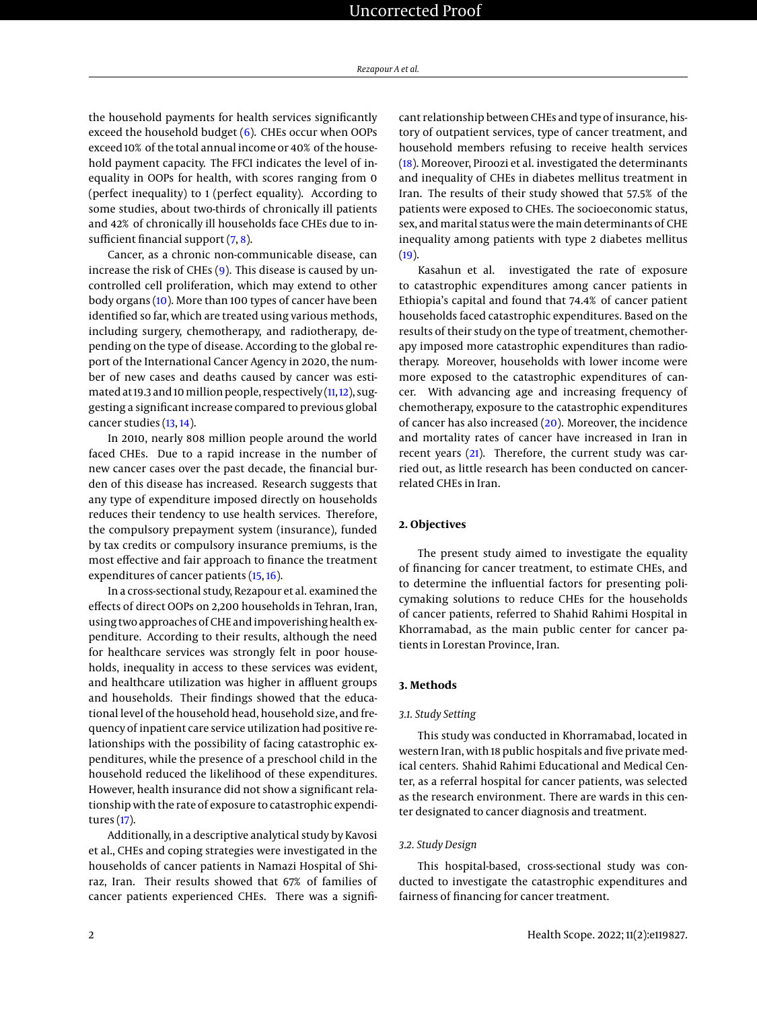the household payments for health services significantly exceed the household budget [\(6\)](#page-6-5). CHEs occur when OOPs exceed 10% of the total annual income or 40% of the household payment capacity. The FFCI indicates the level of inequality in OOPs for health, with scores ranging from 0 (perfect inequality) to 1 (perfect equality). According to some studies, about two-thirds of chronically ill patients and 42% of chronically ill households face CHEs due to insufficient financial support  $(7, 8)$  $(7, 8)$  $(7, 8)$ .

Cancer, as a chronic non-communicable disease, can increase the risk of CHEs [\(9\)](#page-7-2). This disease is caused by uncontrolled cell proliferation, which may extend to other body organs [\(10\)](#page-7-3). More than 100 types of cancer have been identified so far, which are treated using various methods, including surgery, chemotherapy, and radiotherapy, depending on the type of disease. According to the global report of the International Cancer Agency in 2020, the number of new cases and deaths caused by cancer was estimated at 19.3 and 10 million people, respectively  $(11, 12)$  $(11, 12)$  $(11, 12)$ , suggesting a significant increase compared to previous global cancer studies [\(13,](#page-7-6) [14\)](#page-7-7).

In 2010, nearly 808 million people around the world faced CHEs. Due to a rapid increase in the number of new cancer cases over the past decade, the financial burden of this disease has increased. Research suggests that any type of expenditure imposed directly on households reduces their tendency to use health services. Therefore, the compulsory prepayment system (insurance), funded by tax credits or compulsory insurance premiums, is the most effective and fair approach to finance the treatment expenditures of cancer patients [\(15,](#page-7-8) [16\)](#page-7-9).

In a cross-sectional study, Rezapour et al. examined the effects of direct OOPs on 2,200 households in Tehran, Iran, using two approaches of CHE and impoverishing health expenditure. According to their results, although the need for healthcare services was strongly felt in poor households, inequality in access to these services was evident, and healthcare utilization was higher in affluent groups and households. Their findings showed that the educational level of the household head, household size, and frequency of inpatient care service utilization had positive relationships with the possibility of facing catastrophic expenditures, while the presence of a preschool child in the household reduced the likelihood of these expenditures. However, health insurance did not show a significant relationship with the rate of exposure to catastrophic expenditures [\(17\)](#page-7-10).

Additionally, in a descriptive analytical study by Kavosi et al., CHEs and coping strategies were investigated in the households of cancer patients in Namazi Hospital of Shiraz, Iran. Their results showed that 67% of families of cancer patients experienced CHEs. There was a significant relationship between CHEs and type of insurance, history of outpatient services, type of cancer treatment, and household members refusing to receive health services [\(18\)](#page-7-11). Moreover, Piroozi et al. investigated the determinants and inequality of CHEs in diabetes mellitus treatment in Iran. The results of their study showed that 57.5% of the patients were exposed to CHEs. The socioeconomic status, sex, and marital status were the main determinants of CHE inequality among patients with type 2 diabetes mellitus  $(19)$ .

Kasahun et al. investigated the rate of exposure to catastrophic expenditures among cancer patients in Ethiopia's capital and found that 74.4% of cancer patient households faced catastrophic expenditures. Based on the results of their study on the type of treatment, chemotherapy imposed more catastrophic expenditures than radiotherapy. Moreover, households with lower income were more exposed to the catastrophic expenditures of cancer. With advancing age and increasing frequency of chemotherapy, exposure to the catastrophic expenditures of cancer has also increased [\(20\)](#page-7-13). Moreover, the incidence and mortality rates of cancer have increased in Iran in recent years [\(21\)](#page-7-14). Therefore, the current study was carried out, as little research has been conducted on cancerrelated CHEs in Iran.

#### **2. Objectives**

The present study aimed to investigate the equality of financing for cancer treatment, to estimate CHEs, and to determine the influential factors for presenting policymaking solutions to reduce CHEs for the households of cancer patients, referred to Shahid Rahimi Hospital in Khorramabad, as the main public center for cancer patients in Lorestan Province, Iran.

#### **3. Methods**

#### *3.1. Study Setting*

This study was conducted in Khorramabad, located in western Iran, with 18 public hospitals and five private medical centers. Shahid Rahimi Educational and Medical Center, as a referral hospital for cancer patients, was selected as the research environment. There are wards in this center designated to cancer diagnosis and treatment.

#### *3.2. Study Design*

This hospital-based, cross-sectional study was conducted to investigate the catastrophic expenditures and fairness of financing for cancer treatment.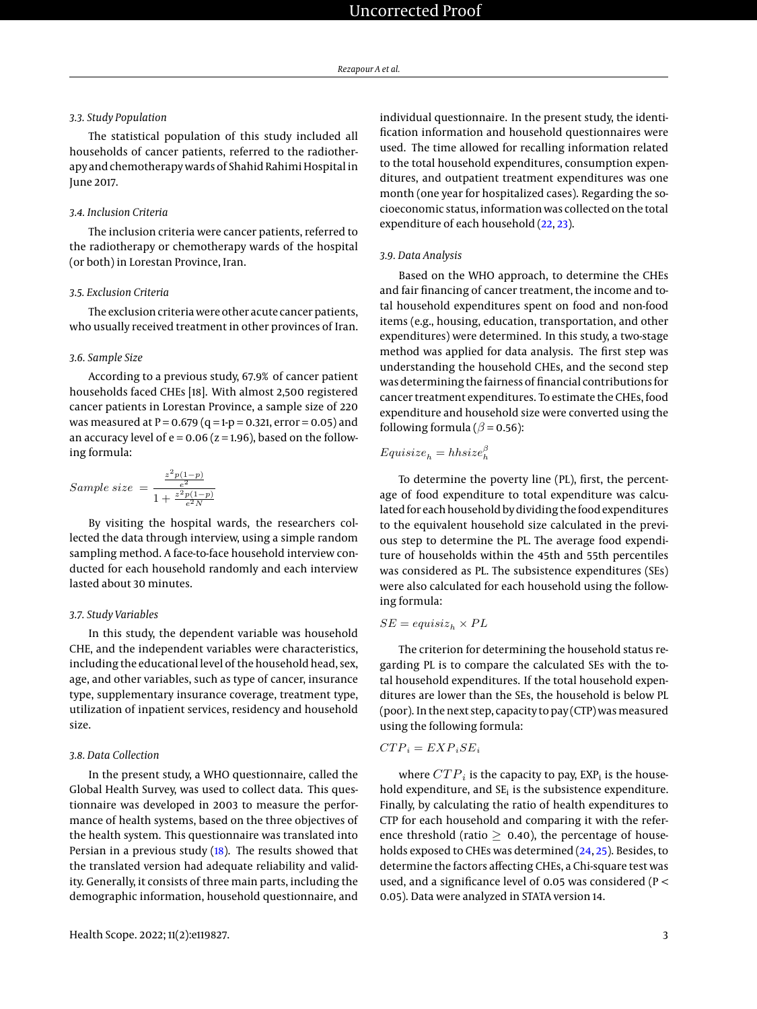#### *3.3. Study Population*

The statistical population of this study included all households of cancer patients, referred to the radiotherapy and chemotherapy wards of Shahid Rahimi Hospital in June 2017.

#### *3.4. Inclusion Criteria*

The inclusion criteria were cancer patients, referred to the radiotherapy or chemotherapy wards of the hospital (or both) in Lorestan Province, Iran.

#### *3.5. Exclusion Criteria*

The exclusion criteria were other acute cancer patients, who usually received treatment in other provinces of Iran.

#### *3.6. Sample Size*

According to a previous study, 67.9% of cancer patient households faced CHEs [18]. With almost 2,500 registered cancer patients in Lorestan Province, a sample size of 220 was measured at  $P = 0.679$  (q = 1-p = 0.321, error = 0.05) and an accuracy level of  $e = 0.06$  ( $z = 1.96$ ), based on the following formula:

Sample size 
$$
=
$$
 
$$
\frac{\frac{z^2 p(1-p)}{e^2}}{1 + \frac{z^2 p(1-p)}{e^2 N}}
$$

By visiting the hospital wards, the researchers collected the data through interview, using a simple random sampling method. A face-to-face household interview conducted for each household randomly and each interview lasted about 30 minutes.

#### *3.7. Study Variables*

In this study, the dependent variable was household CHE, and the independent variables were characteristics, including the educational level of the household head, sex, age, and other variables, such as type of cancer, insurance type, supplementary insurance coverage, treatment type, utilization of inpatient services, residency and household size.

#### *3.8. Data Collection*

In the present study, a WHO questionnaire, called the Global Health Survey, was used to collect data. This questionnaire was developed in 2003 to measure the performance of health systems, based on the three objectives of the health system. This questionnaire was translated into Persian in a previous study [\(18\)](#page-7-11). The results showed that the translated version had adequate reliability and validity. Generally, it consists of three main parts, including the demographic information, household questionnaire, and individual questionnaire. In the present study, the identification information and household questionnaires were used. The time allowed for recalling information related to the total household expenditures, consumption expenditures, and outpatient treatment expenditures was one month (one year for hospitalized cases). Regarding the socioeconomic status, information was collected on the total expenditure of each household [\(22,](#page-7-15) [23\)](#page-7-16).

#### *3.9. Data Analysis*

Based on the WHO approach, to determine the CHEs and fair financing of cancer treatment, the income and total household expenditures spent on food and non-food items (e.g., housing, education, transportation, and other expenditures) were determined. In this study, a two-stage method was applied for data analysis. The first step was understanding the household CHEs, and the second step was determining the fairness of financial contributions for cancer treatment expenditures. To estimate the CHEs, food expenditure and household size were converted using the following formula ( $\beta$  = 0.56):

### $Equisize_h = hhsize_h^{\beta}$

To determine the poverty line (PL), first, the percentage of food expenditure to total expenditure was calculated for each household by dividing the food expenditures to the equivalent household size calculated in the previous step to determine the PL. The average food expenditure of households within the 45th and 55th percentiles was considered as PL. The subsistence expenditures (SEs) were also calculated for each household using the following formula:

#### $SE = equisis_{h} \times PL$

The criterion for determining the household status regarding PL is to compare the calculated SEs with the total household expenditures. If the total household expenditures are lower than the SEs, the household is below PL (poor). In the next step, capacity to pay  $(CTP)$  was measured using the following formula:

$$
CTP_i = EXP_iSE_i
$$

where  $CTP_i$  is the capacity to pay, EXP<sub>i</sub> is the household expenditure, and  $SE<sub>i</sub>$  is the subsistence expenditure. Finally, by calculating the ratio of health expenditures to CTP for each household and comparing it with the reference threshold (ratio  $\geq$  0.40), the percentage of households exposed to CHEs was determined [\(24,](#page-7-17) [25\)](#page-7-18). Besides, to determine the factors affecting CHEs, a Chi-square test was used, and a significance level of 0.05 was considered (P < 0.05). Data were analyzed in STATA version 14.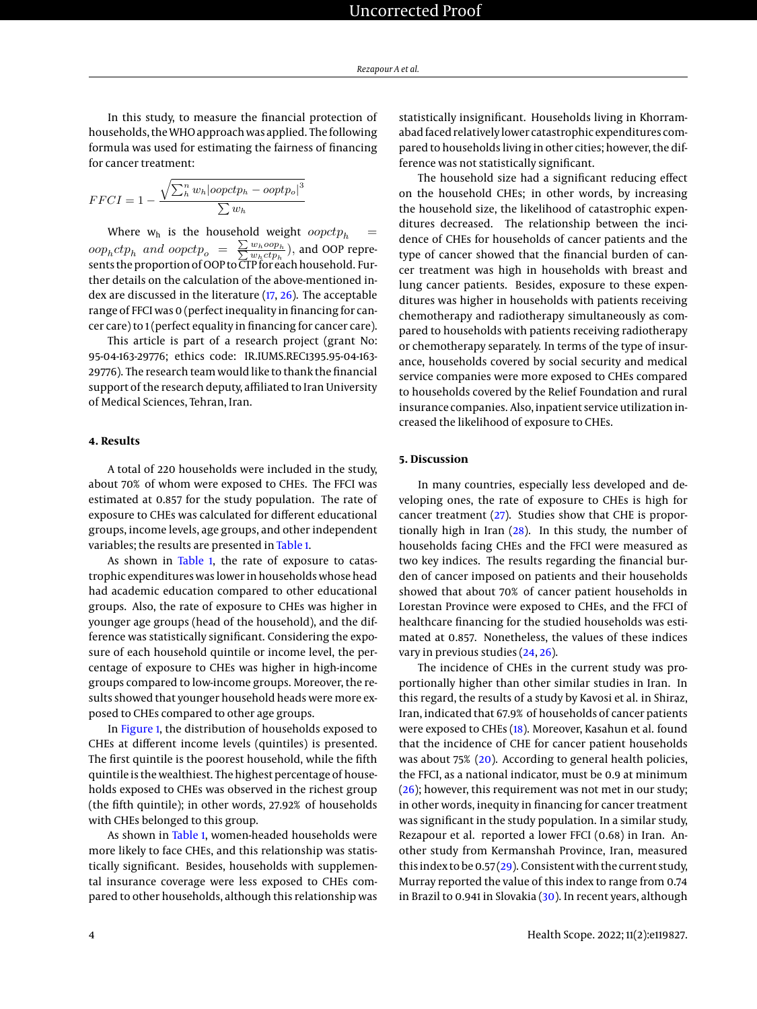In this study, to measure the financial protection of households, theWHO approach was applied. The following formula was used for estimating the fairness of financing for cancer treatment:

$$
FFCI = 1 - \frac{\sqrt{\sum_{h}^{n} w_h |oo pct p_h - oopt p_o|^3}}{\sum w_h}
$$

Where  $w_h$  is the household weight  $\text{coptp}_h$  $\omega p_h c t p_h$  and  $\omega p c t p_o = \frac{\sum w_h \omega p_h}{\sum w_h c t p_h}$ , and OOP represents the proportion of OOP to CTP for each household. Further details on the calculation of the above-mentioned index are discussed in the literature [\(17,](#page-7-10) [26\)](#page-7-19). The acceptable range of FFCI was 0 (perfect inequality in financing for cancer care) to 1 (perfect equality in financing for cancer care).

This article is part of a research project (grant No: 95-04-163-29776; ethics code: IR.IUMS.REC1395.95-04-163- 29776). The research team would like to thank the financial support of the research deputy, affiliated to Iran University of Medical Sciences, Tehran, Iran.

#### **4. Results**

A total of 220 households were included in the study, about 70% of whom were exposed to CHEs. The FFCI was estimated at 0.857 for the study population. The rate of exposure to CHEs was calculated for different educational groups, income levels, age groups, and other independent variables; the results are presented in [Table 1.](#page-4-0)

As shown in [Table 1,](#page-4-0) the rate of exposure to catastrophic expenditures was lower in households whose head had academic education compared to other educational groups. Also, the rate of exposure to CHEs was higher in younger age groups (head of the household), and the difference was statistically significant. Considering the exposure of each household quintile or income level, the percentage of exposure to CHEs was higher in high-income groups compared to low-income groups. Moreover, the results showed that younger household heads were more exposed to CHEs compared to other age groups.

In [Figure 1,](#page-5-0) the distribution of households exposed to CHEs at different income levels (quintiles) is presented. The first quintile is the poorest household, while the fifth quintile is the wealthiest. The highest percentage of households exposed to CHEs was observed in the richest group (the fifth quintile); in other words, 27.92% of households with CHEs belonged to this group.

As shown in [Table 1,](#page-4-0) women-headed households were more likely to face CHEs, and this relationship was statistically significant. Besides, households with supplemental insurance coverage were less exposed to CHEs compared to other households, although this relationship was

statistically insignificant. Households living in Khorramabad faced relatively lower catastrophic expenditures compared to households living in other cities; however, the difference was not statistically significant.

The household size had a significant reducing effect on the household CHEs; in other words, by increasing the household size, the likelihood of catastrophic expenditures decreased. The relationship between the incidence of CHEs for households of cancer patients and the type of cancer showed that the financial burden of cancer treatment was high in households with breast and lung cancer patients. Besides, exposure to these expenditures was higher in households with patients receiving chemotherapy and radiotherapy simultaneously as compared to households with patients receiving radiotherapy or chemotherapy separately. In terms of the type of insurance, households covered by social security and medical service companies were more exposed to CHEs compared to households covered by the Relief Foundation and rural insurance companies. Also, inpatient service utilization increased the likelihood of exposure to CHEs.

#### **5. Discussion**

In many countries, especially less developed and developing ones, the rate of exposure to CHEs is high for cancer treatment [\(27\)](#page-7-20). Studies show that CHE is proportionally high in Iran [\(28\)](#page-7-21). In this study, the number of households facing CHEs and the FFCI were measured as two key indices. The results regarding the financial burden of cancer imposed on patients and their households showed that about 70% of cancer patient households in Lorestan Province were exposed to CHEs, and the FFCI of healthcare financing for the studied households was estimated at 0.857. Nonetheless, the values of these indices vary in previous studies [\(24,](#page-7-17) [26\)](#page-7-19).

The incidence of CHEs in the current study was proportionally higher than other similar studies in Iran. In this regard, the results of a study by Kavosi et al. in Shiraz, Iran, indicated that 67.9% of households of cancer patients were exposed to CHEs [\(18\)](#page-7-11). Moreover, Kasahun et al. found that the incidence of CHE for cancer patient households was about 75% [\(20\)](#page-7-13). According to general health policies, the FFCI, as a national indicator, must be 0.9 at minimum [\(26\)](#page-7-19); however, this requirement was not met in our study; in other words, inequity in financing for cancer treatment was significant in the study population. In a similar study, Rezapour et al. reported a lower FFCI (0.68) in Iran. Another study from Kermanshah Province, Iran, measured this index to be 0.57( $29$ ). Consistent with the current study, Murray reported the value of this index to range from 0.74 in Brazil to 0.941 in Slovakia [\(30\)](#page-7-23). In recent years, although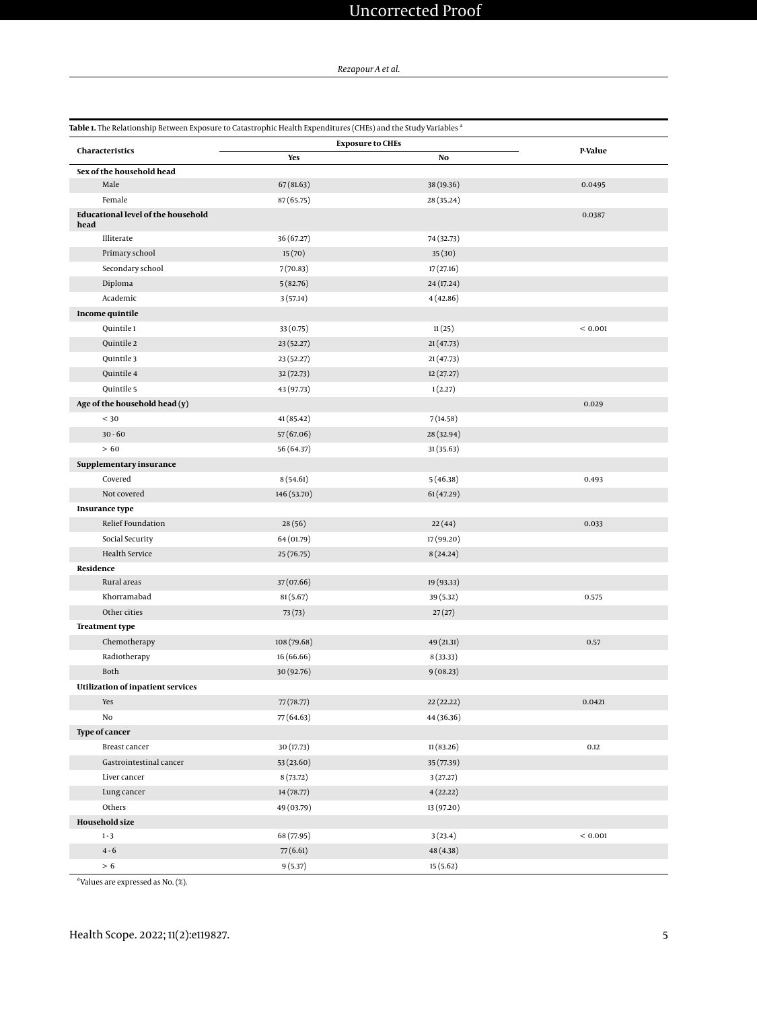# Uncorrected Proof

#### *Rezapour A et al.*

<span id="page-4-0"></span>

|                                                   | Table 1. The Relationship Between Exposure to Catastrophic Health Expenditures (CHEs) and the Study Variables $^{\rm a}$<br><b>Exposure to CHEs</b> |            |              |
|---------------------------------------------------|-----------------------------------------------------------------------------------------------------------------------------------------------------|------------|--------------|
| Characteristics                                   | Yes                                                                                                                                                 | No         | P-Value      |
| Sex of the household head                         |                                                                                                                                                     |            |              |
| Male                                              | 67(81.63)                                                                                                                                           | 38 (19.36) | 0.0495       |
| Female                                            | 87 (65.75)                                                                                                                                          | 28 (35.24) |              |
| <b>Educational level of the household</b><br>head |                                                                                                                                                     |            | 0.0387       |
| Illiterate                                        | 36 (67.27)                                                                                                                                          | 74 (32.73) |              |
| Primary school                                    | 15(70)                                                                                                                                              | 35(30)     |              |
| Secondary school                                  | 7(70.83)                                                                                                                                            | 17(27.16)  |              |
| Diploma                                           | 5(82.76)                                                                                                                                            | 24 (17.24) |              |
| Academic                                          | 3(57.14)                                                                                                                                            | 4(42.86)   |              |
| Income quintile                                   |                                                                                                                                                     |            |              |
| Quintile 1                                        | 33(0.75)                                                                                                                                            | 11(25)     | < 0.001      |
| Quintile 2                                        | 23 (52.27)                                                                                                                                          | 21(47.73)  |              |
| Quintile 3                                        | 23 (52.27)                                                                                                                                          | 21(47.73)  |              |
| Quintile 4                                        | 32 (72.73)                                                                                                                                          | 12(27.27)  |              |
| Quintile 5                                        | 43 (97.73)                                                                                                                                          | 1(2.27)    |              |
| Age of the household head (y)                     |                                                                                                                                                     |            | 0.029        |
| $< 30$                                            | 41 (85.42)                                                                                                                                          | 7(14.58)   |              |
| $30 - 60$                                         | 57 (67.06)                                                                                                                                          | 28 (32.94) |              |
| >60                                               | 56 (64.37)                                                                                                                                          | 31(35.63)  |              |
| Supplementary insurance                           |                                                                                                                                                     |            |              |
| Covered                                           | 8(54.61)                                                                                                                                            | 5(46.38)   | 0.493        |
| Not covered                                       |                                                                                                                                                     |            |              |
| <b>Insurance type</b>                             | 146 (53.70)                                                                                                                                         | 61(47.29)  |              |
| Relief Foundation                                 | 28(56)                                                                                                                                              | 22(44)     | 0.033        |
| Social Security                                   | 64 (01.79)                                                                                                                                          | 17 (99.20) |              |
| Health Service                                    | 25 (76.75)                                                                                                                                          | 8(24.24)   |              |
| Residence                                         |                                                                                                                                                     |            |              |
| Rural areas                                       | 37 (07.66)                                                                                                                                          | 19 (93.33) |              |
| Khorramabad                                       | 81(5.67)                                                                                                                                            | 39 (5.32)  | 0.575        |
| Other cities                                      | 73(73)                                                                                                                                              | 27(27)     |              |
| <b>Treatment type</b>                             |                                                                                                                                                     |            |              |
| Chemotherapy                                      | 108 (79.68)                                                                                                                                         | 49 (21.31) | 0.57         |
| Radiotherapy                                      | 16 (66.66)                                                                                                                                          | 8(33.33)   |              |
| Both                                              | 30 (92.76)                                                                                                                                          | 9(08.23)   |              |
| <b>Utilization of inpatient services</b>          |                                                                                                                                                     |            |              |
|                                                   | 77 (78.77)                                                                                                                                          | 22 (22.22) | 0.0421       |
| Yes<br>$\rm No$                                   | 77 (64.63)                                                                                                                                          | 44 (36.36) |              |
|                                                   |                                                                                                                                                     |            |              |
| Type of cancer                                    |                                                                                                                                                     |            |              |
| Breast cancer                                     | 30 (17.73)                                                                                                                                          | 11(83.26)  | 0.12         |
| Gastrointestinal cancer                           | 53(23.60)                                                                                                                                           | 35 (77.39) |              |
| Liver cancer                                      | 8(73.72)                                                                                                                                            | 3(27.27)   |              |
| Lung cancer                                       | 14 (78.77)                                                                                                                                          | 4(22.22)   |              |
| Others                                            | 49 (03.79)                                                                                                                                          | 13 (97.20) |              |
| <b>Household size</b>                             |                                                                                                                                                     |            | ${}_{0.001}$ |
| $1 - 3$                                           | 68 (77.95)                                                                                                                                          | 3(23.4)    |              |
| $4-6$                                             | 77(6.61)                                                                                                                                            | 48 (4.38)  |              |
| $> 6$                                             | 9(5.37)                                                                                                                                             | 15(5.62)   |              |

a Values are expressed as No. (%).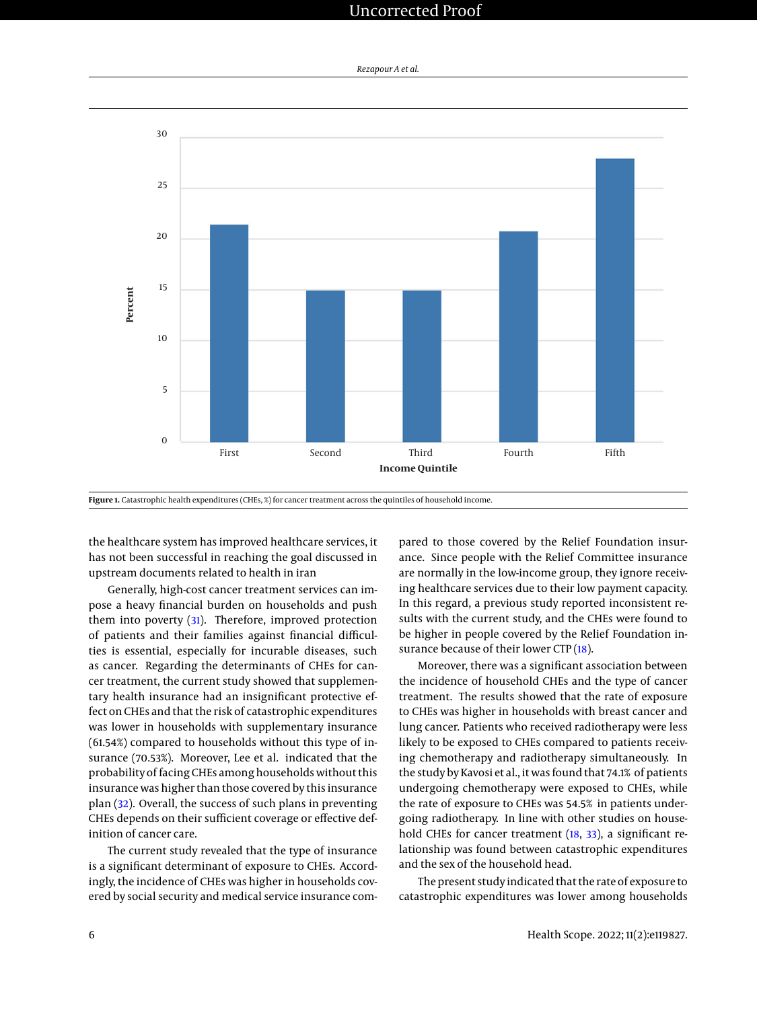# Uncorrected Proof

*Rezapour A et al.*

<span id="page-5-0"></span>

**Figure 1.** Catastrophic health expenditures (CHEs, %) for cancer treatment across the quintiles of household income.

the healthcare system has improved healthcare services, it has not been successful in reaching the goal discussed in upstream documents related to health in iran

Generally, high-cost cancer treatment services can impose a heavy financial burden on households and push them into poverty [\(31\)](#page-7-24). Therefore, improved protection of patients and their families against financial difficulties is essential, especially for incurable diseases, such as cancer. Regarding the determinants of CHEs for cancer treatment, the current study showed that supplementary health insurance had an insignificant protective effect on CHEs and that the risk of catastrophic expenditures was lower in households with supplementary insurance (61.54%) compared to households without this type of insurance (70.53%). Moreover, Lee et al. indicated that the probability of facing CHEs among households without this insurance was higher than those covered by this insurance plan [\(32\)](#page-7-25). Overall, the success of such plans in preventing CHEs depends on their sufficient coverage or effective definition of cancer care.

The current study revealed that the type of insurance is a significant determinant of exposure to CHEs. Accordingly, the incidence of CHEs was higher in households covered by social security and medical service insurance compared to those covered by the Relief Foundation insurance. Since people with the Relief Committee insurance are normally in the low-income group, they ignore receiving healthcare services due to their low payment capacity. In this regard, a previous study reported inconsistent results with the current study, and the CHEs were found to be higher in people covered by the Relief Foundation in-surance because of their lower CTP [\(18\)](#page-7-11).

Moreover, there was a significant association between the incidence of household CHEs and the type of cancer treatment. The results showed that the rate of exposure to CHEs was higher in households with breast cancer and lung cancer. Patients who received radiotherapy were less likely to be exposed to CHEs compared to patients receiving chemotherapy and radiotherapy simultaneously. In the study by Kavosi et al., it was found that 74.1% of patients undergoing chemotherapy were exposed to CHEs, while the rate of exposure to CHEs was 54.5% in patients undergoing radiotherapy. In line with other studies on house-hold CHEs for cancer treatment [\(18,](#page-7-11) [33\)](#page-7-26), a significant relationship was found between catastrophic expenditures and the sex of the household head.

The present study indicated that the rate of exposure to catastrophic expenditures was lower among households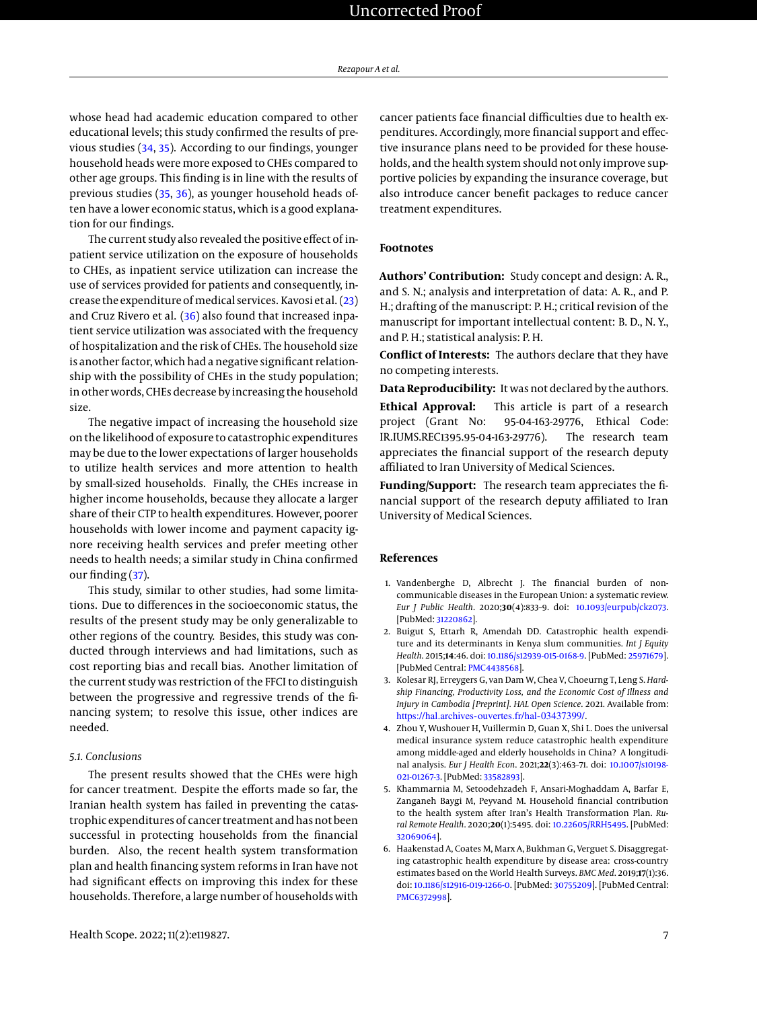# Uncorrected Proof

whose head had academic education compared to other educational levels; this study confirmed the results of previous studies [\(34,](#page-7-27) [35\)](#page-7-28). According to our findings, younger household heads were more exposed to CHEs compared to other age groups. This finding is in line with the results of previous studies [\(35,](#page-7-28) [36\)](#page-7-29), as younger household heads often have a lower economic status, which is a good explanation for our findings.

The current study also revealed the positive effect of inpatient service utilization on the exposure of households to CHEs, as inpatient service utilization can increase the use of services provided for patients and consequently, increase the expenditure of medical services. Kavosi et al. [\(23\)](#page-7-16) and Cruz Rivero et al. [\(36\)](#page-7-29) also found that increased inpatient service utilization was associated with the frequency of hospitalization and the risk of CHEs. The household size is another factor, which had a negative significant relationship with the possibility of CHEs in the study population; in other words, CHEs decrease by increasing the household size.

The negative impact of increasing the household size on the likelihood of exposure to catastrophic expenditures may be due to the lower expectations of larger households to utilize health services and more attention to health by small-sized households. Finally, the CHEs increase in higher income households, because they allocate a larger share of their CTP to health expenditures. However, poorer households with lower income and payment capacity ignore receiving health services and prefer meeting other needs to health needs; a similar study in China confirmed our finding [\(37\)](#page-7-30).

This study, similar to other studies, had some limitations. Due to differences in the socioeconomic status, the results of the present study may be only generalizable to other regions of the country. Besides, this study was conducted through interviews and had limitations, such as cost reporting bias and recall bias. Another limitation of the current study was restriction of the FFCI to distinguish between the progressive and regressive trends of the financing system; to resolve this issue, other indices are needed.

#### *5.1. Conclusions*

The present results showed that the CHEs were high for cancer treatment. Despite the efforts made so far, the Iranian health system has failed in preventing the catastrophic expenditures of cancer treatment and has not been successful in protecting households from the financial burden. Also, the recent health system transformation plan and health financing system reforms in Iran have not had significant effects on improving this index for these households. Therefore, a large number of households with

cancer patients face financial difficulties due to health expenditures. Accordingly, more financial support and effective insurance plans need to be provided for these households, and the health system should not only improve supportive policies by expanding the insurance coverage, but also introduce cancer benefit packages to reduce cancer treatment expenditures.

#### **Footnotes**

**Authors' Contribution:** Study concept and design: A. R., and S. N.; analysis and interpretation of data: A. R., and P. H.; drafting of the manuscript: P. H.; critical revision of the manuscript for important intellectual content: B. D., N. Y., and P. H.; statistical analysis: P. H.

**Conflict of Interests:** The authors declare that they have no competing interests.

**Data Reproducibility:** It was not declared by the authors.

**Ethical Approval:** This article is part of a research project (Grant No: 95-04-163-29776, Ethical Code: IR.IUMS.REC1395.95-04-163-29776). The research team appreciates the financial support of the research deputy affiliated to Iran University of Medical Sciences.

**Funding/Support:** The research team appreciates the financial support of the research deputy affiliated to Iran University of Medical Sciences.

#### **References**

- <span id="page-6-0"></span>1. Vandenberghe D, Albrecht J. The financial burden of noncommunicable diseases in the European Union: a systematic review. *Eur J Public Health*. 2020;**30**(4):833–9. doi: [10.1093/eurpub/ckz073.](http://dx.doi.org/10.1093/eurpub/ckz073) [PubMed: [31220862\]](http://www.ncbi.nlm.nih.gov/pubmed/31220862).
- <span id="page-6-1"></span>2. Buigut S, Ettarh R, Amendah DD. Catastrophic health expenditure and its determinants in Kenya slum communities. *Int J Equity Health*. 2015;**14**:46. doi: [10.1186/s12939-015-0168-9.](http://dx.doi.org/10.1186/s12939-015-0168-9) [PubMed: [25971679\]](http://www.ncbi.nlm.nih.gov/pubmed/25971679). [PubMed Central: [PMC4438568\]](https://www.ncbi.nlm.nih.gov/pmc/articles/PMC4438568).
- <span id="page-6-2"></span>3. Kolesar RJ, Erreygers G, van Dam W, Chea V, Choeurng T, Leng S. *Hardship Financing, Productivity Loss, and the Economic Cost of Illness and Injury in Cambodia [Preprint]. HAL Open Science*. 2021. Available from: <https://hal.archives-ouvertes.fr/hal-03437399/>.
- <span id="page-6-3"></span>4. Zhou Y, Wushouer H, Vuillermin D, Guan X, Shi L. Does the universal medical insurance system reduce catastrophic health expenditure among middle-aged and elderly households in China? A longitudinal analysis. *Eur J Health Econ*. 2021;**22**(3):463–71. doi: [10.1007/s10198-](http://dx.doi.org/10.1007/s10198-021-01267-3) [021-01267-3.](http://dx.doi.org/10.1007/s10198-021-01267-3) [PubMed: [33582893\]](http://www.ncbi.nlm.nih.gov/pubmed/33582893).
- <span id="page-6-4"></span>5. Khammarnia M, Setoodehzadeh F, Ansari-Moghaddam A, Barfar E, Zanganeh Baygi M, Peyvand M. Household financial contribution to the health system after Iran's Health Transformation Plan. *Rural Remote Health*. 2020;**20**(1):5495. doi: [10.22605/RRH5495.](http://dx.doi.org/10.22605/RRH5495) [PubMed: [32069064\]](http://www.ncbi.nlm.nih.gov/pubmed/32069064).
- <span id="page-6-5"></span>6. Haakenstad A, Coates M, Marx A, Bukhman G, Verguet S. Disaggregating catastrophic health expenditure by disease area: cross-country estimates based on the World Health Surveys. *BMC Med*. 2019;**17**(1):36. doi: [10.1186/s12916-019-1266-0.](http://dx.doi.org/10.1186/s12916-019-1266-0) [PubMed: [30755209\]](http://www.ncbi.nlm.nih.gov/pubmed/30755209). [PubMed Central: [PMC6372998\]](https://www.ncbi.nlm.nih.gov/pmc/articles/PMC6372998).